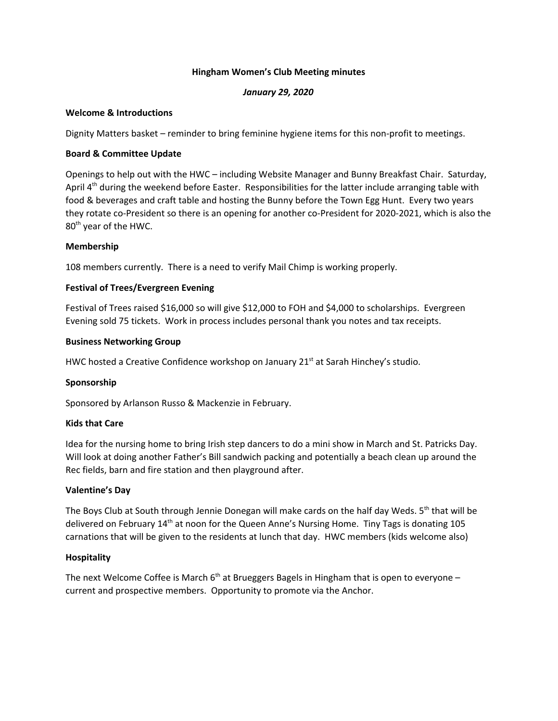## **Hingham Women's Club Meeting minutes**

# *January 29, 2020*

## **Welcome & Introductions**

Dignity Matters basket – reminder to bring feminine hygiene items for this non-profit to meetings.

## **Board & Committee Update**

Openings to help out with the HWC – including Website Manager and Bunny Breakfast Chair. Saturday, April 4<sup>th</sup> during the weekend before Easter. Responsibilities for the latter include arranging table with food & beverages and craft table and hosting the Bunny before the Town Egg Hunt. Every two years they rotate co-President so there is an opening for another co-President for 2020-2021, which is also the 80<sup>th</sup> year of the HWC.

## **Membership**

108 members currently. There is a need to verify Mail Chimp is working properly.

# **Festival of Trees/Evergreen Evening**

Festival of Trees raised \$16,000 so will give \$12,000 to FOH and \$4,000 to scholarships. Evergreen Evening sold 75 tickets. Work in process includes personal thank you notes and tax receipts.

## **Business Networking Group**

HWC hosted a Creative Confidence workshop on January 21<sup>st</sup> at Sarah Hinchey's studio.

# **Sponsorship**

Sponsored by Arlanson Russo & Mackenzie in February.

#### **Kids that Care**

Idea for the nursing home to bring Irish step dancers to do a mini show in March and St. Patricks Day. Will look at doing another Father's Bill sandwich packing and potentially a beach clean up around the Rec fields, barn and fire station and then playground after.

# **Valentine's Day**

The Boys Club at South through Jennie Donegan will make cards on the half day Weds. 5<sup>th</sup> that will be delivered on February 14<sup>th</sup> at noon for the Queen Anne's Nursing Home. Tiny Tags is donating 105 carnations that will be given to the residents at lunch that day. HWC members (kids welcome also)

#### **Hospitality**

The next Welcome Coffee is March 6<sup>th</sup> at Brueggers Bagels in Hingham that is open to everyone current and prospective members. Opportunity to promote via the Anchor.